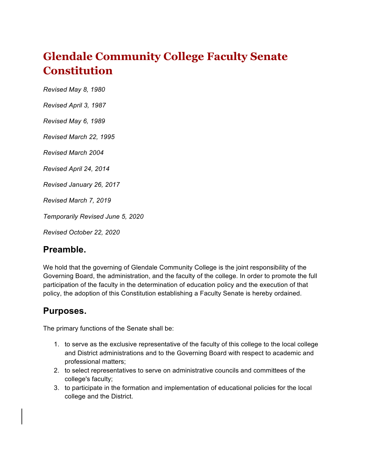# **Glendale Community College Faculty Senate Constitution**

*Revised May 8, 1980*

*Revised April 3, 1987*

*Revised May 6, 1989*

*Revised March 22, 1995*

*Revised March 2004*

*Revised April 24, 2014*

*Revised January 26, 2017* 

*Revised March 7, 2019* 

*Temporarily Revised June 5, 2020*

*Revised October 22, 2020*

#### **Preamble.**

We hold that the governing of Glendale Community College is the joint responsibility of the Governing Board, the administration, and the faculty of the college. In order to promote the full participation of the faculty in the determination of education policy and the execution of that policy, the adoption of this Constitution establishing a Faculty Senate is hereby ordained.

#### **Purposes.**

The primary functions of the Senate shall be:

- 1. to serve as the exclusive representative of the faculty of this college to the local college and District administrations and to the Governing Board with respect to academic and professional matters;
- 2. to select representatives to serve on administrative councils and committees of the college's faculty;
- 3. to participate in the formation and implementation of educational policies for the local college and the District.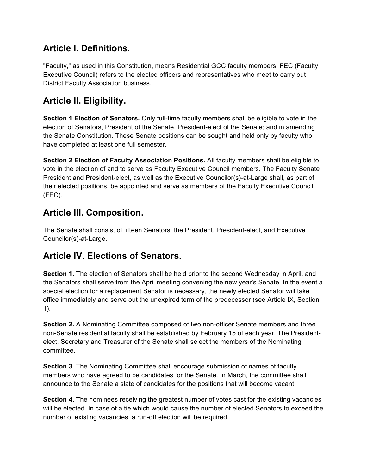# **Article I. Definitions.**

"Faculty," as used in this Constitution, means Residential GCC faculty members. FEC (Faculty Executive Council) refers to the elected officers and representatives who meet to carry out District Faculty Association business.

# **Article II. Eligibility.**

**Section 1 Election of Senators.** Only full-time faculty members shall be eligible to vote in the election of Senators, President of the Senate, President-elect of the Senate; and in amending the Senate Constitution. These Senate positions can be sought and held only by faculty who have completed at least one full semester.

**Section 2 Election of Faculty Association Positions.** All faculty members shall be eligible to vote in the election of and to serve as Faculty Executive Council members. The Faculty Senate President and President-elect, as well as the Executive Councilor(s)-at-Large shall, as part of their elected positions, be appointed and serve as members of the Faculty Executive Council (FEC).

# **Article III. Composition.**

The Senate shall consist of fifteen Senators, the President, President-elect, and Executive Councilor(s)-at-Large.

# **Article IV. Elections of Senators.**

**Section 1.** The election of Senators shall be held prior to the second Wednesday in April, and the Senators shall serve from the April meeting convening the new year's Senate. In the event a special election for a replacement Senator is necessary, the newly elected Senator will take office immediately and serve out the unexpired term of the predecessor (see Article IX, Section 1).

**Section 2.** A Nominating Committee composed of two non-officer Senate members and three non-Senate residential faculty shall be established by February 15 of each year. The Presidentelect, Secretary and Treasurer of the Senate shall select the members of the Nominating committee.

**Section 3.** The Nominating Committee shall encourage submission of names of faculty members who have agreed to be candidates for the Senate. In March, the committee shall announce to the Senate a slate of candidates for the positions that will become vacant.

**Section 4.** The nominees receiving the greatest number of votes cast for the existing vacancies will be elected. In case of a tie which would cause the number of elected Senators to exceed the number of existing vacancies, a run-off election will be required.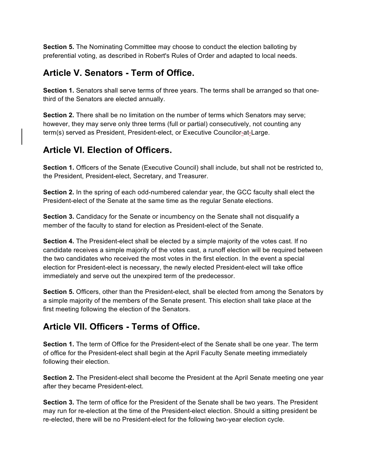**Section 5.** The Nominating Committee may choose to conduct the election balloting by preferential voting, as described in Robert's Rules of Order and adapted to local needs.

### **Article V. Senators - Term of Office.**

**Section 1.** Senators shall serve terms of three years. The terms shall be arranged so that onethird of the Senators are elected annually.

**Section 2.** There shall be no limitation on the number of terms which Senators may serve; however, they may serve only three terms (full or partial) consecutively, not counting any term(s) served as President, President-elect, or Executive Councilor-at-Large.

### **Article VI. Election of Officers.**

**Section 1.** Officers of the Senate (Executive Council) shall include, but shall not be restricted to, the President, President-elect, Secretary, and Treasurer.

**Section 2.** In the spring of each odd-numbered calendar year, the GCC faculty shall elect the President-elect of the Senate at the same time as the regular Senate elections.

**Section 3.** Candidacy for the Senate or incumbency on the Senate shall not disqualify a member of the faculty to stand for election as President-elect of the Senate.

**Section 4.** The President-elect shall be elected by a simple majority of the votes cast. If no candidate receives a simple majority of the votes cast, a runoff election will be required between the two candidates who received the most votes in the first election. In the event a special election for President-elect is necessary, the newly elected President-elect will take office immediately and serve out the unexpired term of the predecessor.

Section 5. Officers, other than the President-elect, shall be elected from among the Senators by a simple majority of the members of the Senate present. This election shall take place at the first meeting following the election of the Senators.

# **Article VII. Officers - Terms of Office.**

**Section 1.** The term of Office for the President-elect of the Senate shall be one year. The term of office for the President-elect shall begin at the April Faculty Senate meeting immediately following their election.

**Section 2.** The President-elect shall become the President at the April Senate meeting one year after they became President-elect.

**Section 3.** The term of office for the President of the Senate shall be two years. The President may run for re-election at the time of the President-elect election. Should a sitting president be re-elected, there will be no President-elect for the following two-year election cycle.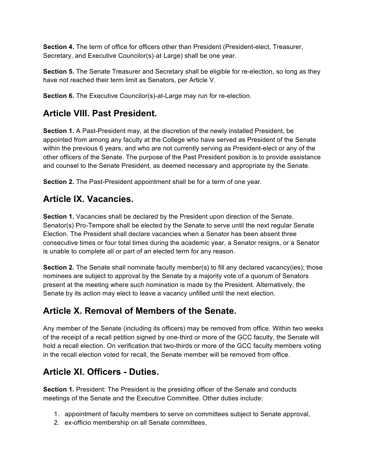**Section 4.** The term of office for officers other than President (President-elect, Treasurer, Secretary, and Executive Councilor(s)-at-Large) shall be one year.

**Section 5.** The Senate Treasurer and Secretary shall be eligible for re-election, so long as they have not reached their term limit as Senators, per Article V.

**Section 6.** The Executive Councilor(s)-at-Large may run for re-election.

### **Article VIII. Past President.**

**Section 1.** A Past-President may, at the discretion of the newly installed President, be appointed from among any faculty at the College who have served as President of the Senate within the previous 6 years, and who are not currently serving as President-elect or any of the other officers of the Senate. The purpose of the Past President position is to provide assistance and counsel to the Senate President, as deemed necessary and appropriate by the Senate.

**Section 2.** The Past-President appointment shall be for a term of one year.

### **Article IX. Vacancies.**

**Section 1.** Vacancies shall be declared by the President upon direction of the Senate. Senator(s) Pro-Tempore shall be elected by the Senate to serve until the next regular Senate Election. The President shall declare vacancies when a Senator has been absent three consecutive times or four total times during the academic year, a Senator resigns, or a Senator is unable to complete all or part of an elected term for any reason.

**Section 2.** The Senate shall nominate faculty member(s) to fill any declared vacancy(ies); those nominees are subject to approval by the Senate by a majority vote of a quorum of Senators present at the meeting where such nomination is made by the President. Alternatively, the Senate by its action may elect to leave a vacancy unfilled until the next election.

# **Article X. Removal of Members of the Senate.**

Any member of the Senate (including its officers) may be removed from office. Within two weeks of the receipt of a recall petition signed by one-third or more of the GCC faculty, the Senate will hold a recall election. On verification that two-thirds or more of the GCC faculty members voting in the recall election voted for recall, the Senate member will be removed from office.

# **Article XI. Officers - Duties.**

**Section 1.** President: The President is the presiding officer of the Senate and conducts meetings of the Senate and the Executive Committee. Other duties include:

- 1. appointment of faculty members to serve on committees subject to Senate approval,
- 2. ex-officio membership on all Senate committees,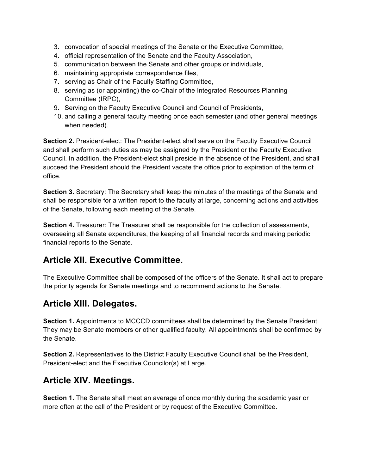- 3. convocation of special meetings of the Senate or the Executive Committee,
- 4. official representation of the Senate and the Faculty Association,
- 5. communication between the Senate and other groups or individuals,
- 6. maintaining appropriate correspondence files,
- 7. serving as Chair of the Faculty Staffing Committee,
- 8. serving as (or appointing) the co-Chair of the Integrated Resources Planning Committee (IRPC),
- 9. Serving on the Faculty Executive Council and Council of Presidents,
- 10. and calling a general faculty meeting once each semester (and other general meetings when needed).

**Section 2.** President-elect: The President-elect shall serve on the Faculty Executive Council and shall perform such duties as may be assigned by the President or the Faculty Executive Council. In addition, the President-elect shall preside in the absence of the President, and shall succeed the President should the President vacate the office prior to expiration of the term of office.

**Section 3.** Secretary: The Secretary shall keep the minutes of the meetings of the Senate and shall be responsible for a written report to the faculty at large, concerning actions and activities of the Senate, following each meeting of the Senate.

**Section 4.** Treasurer: The Treasurer shall be responsible for the collection of assessments, overseeing all Senate expenditures, the keeping of all financial records and making periodic financial reports to the Senate.

### **Article XII. Executive Committee.**

The Executive Committee shall be composed of the officers of the Senate. It shall act to prepare the priority agenda for Senate meetings and to recommend actions to the Senate.

### **Article XIII. Delegates.**

**Section 1.** Appointments to MCCCD committees shall be determined by the Senate President. They may be Senate members or other qualified faculty. All appointments shall be confirmed by the Senate.

**Section 2.** Representatives to the District Faculty Executive Council shall be the President, President-elect and the Executive Councilor(s) at Large.

#### **Article XIV. Meetings.**

**Section 1.** The Senate shall meet an average of once monthly during the academic year or more often at the call of the President or by request of the Executive Committee.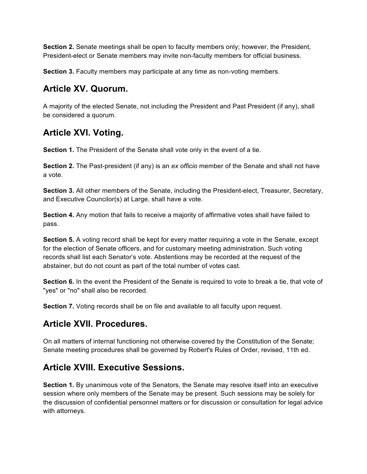**Section 2.** Senate meetings shall be open to faculty members only; however, the President, President-elect or Senate members may invite non-faculty members for official business.

**Section 3.** Faculty members may participate at any time as non-voting members.

### **Article XV. Quorum.**

A majority of the elected Senate, not including the President and Past President (if any), shall be considered a quorum.

# **Article XVI. Voting.**

**Section 1.** The President of the Senate shall vote only in the event of a tie.

**Section 2.** The Past-president (if any) is an *ex officio* member of the Senate and shall not have a vote.

**Section 3.** All other members of the Senate, including the President-elect, Treasurer, Secretary, and Executive Councilor(s) at Large, shall have a vote.

**Section 4.** Any motion that fails to receive a majority of affirmative votes shall have failed to pass.

**Section 5.** A voting record shall be kept for every matter requiring a vote in the Senate, except for the election of Senate officers, and for customary meeting administration. Such voting records shall list each Senator's vote. Abstentions may be recorded at the request of the abstainer, but do not count as part of the total number of votes cast.

**Section 6.** In the event the President of the Senate is required to vote to break a tie, that vote of "yes" or "no" shall also be recorded.

**Section 7.** Voting records shall be on file and available to all faculty upon request.

# **Article XVII. Procedures.**

On all matters of internal functioning not otherwise covered by the Constitution of the Senate; Senate meeting procedures shall be governed by Robert's Rules of Order, revised, 11th ed.

# **Article XVIII. Executive Sessions.**

**Section 1.** By unanimous vote of the Senators, the Senate may resolve itself into an executive session where only members of the Senate may be present. Such sessions may be solely for the discussion of confidential personnel matters or for discussion or consultation for legal advice with attorneys.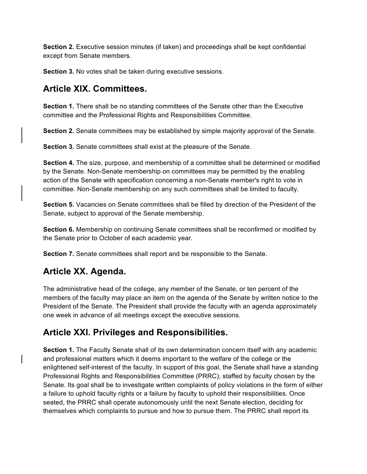**Section 2.** Executive session minutes (if taken) and proceedings shall be kept confidential except from Senate members.

**Section 3.** No votes shall be taken during executive sessions.

### **Article XIX. Committees.**

**Section 1.** There shall be no standing committees of the Senate other than the Executive committee and the Professional Rights and Responsibilities Committee.

**Section 2.** Senate committees may be established by simple majority approval of the Senate.

**Section 3.** Senate committees shall exist at the pleasure of the Senate.

**Section 4.** The size, purpose, and membership of a committee shall be determined or modified by the Senate. Non-Senate membership on committees may be permitted by the enabling action of the Senate with specification concerning a non-Senate member's right to vote in committee. Non-Senate membership on any such committees shall be limited to faculty.

**Section 5.** Vacancies on Senate committees shall be filled by direction of the President of the Senate, subject to approval of the Senate membership.

**Section 6.** Membership on continuing Senate committees shall be reconfirmed or modified by the Senate prior to October of each academic year.

**Section 7.** Senate committees shall report and be responsible to the Senate.

### **Article XX. Agenda.**

The administrative head of the college, any member of the Senate, or ten percent of the members of the faculty may place an item on the agenda of the Senate by written notice to the President of the Senate. The President shall provide the faculty with an agenda approximately one week in advance of all meetings except the executive sessions.

### **Article XXI. Privileges and Responsibilities.**

**Section 1.** The Faculty Senate shall of its own determination concern itself with any academic and professional matters which it deems important to the welfare of the college or the enlightened self-interest of the faculty. In support of this goal, the Senate shall have a standing Professional Rights and Responsibilities Committee (PRRC), staffed by faculty chosen by the Senate. Its goal shall be to investigate written complaints of policy violations in the form of either a failure to uphold faculty rights or a failure by faculty to uphold their responsibilities. Once seated, the PRRC shall operate autonomously until the next Senate election, deciding for themselves which complaints to pursue and how to pursue them. The PRRC shall report its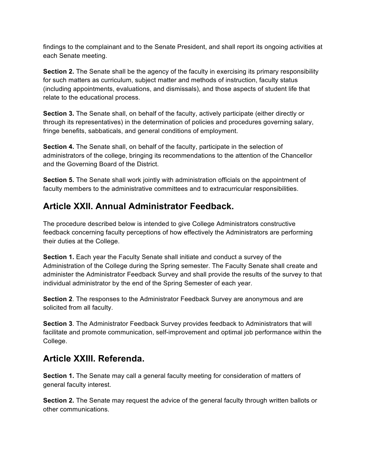findings to the complainant and to the Senate President, and shall report its ongoing activities at each Senate meeting.

**Section 2.** The Senate shall be the agency of the faculty in exercising its primary responsibility for such matters as curriculum, subject matter and methods of instruction, faculty status (including appointments, evaluations, and dismissals), and those aspects of student life that relate to the educational process.

**Section 3.** The Senate shall, on behalf of the faculty, actively participate (either directly or through its representatives) in the determination of policies and procedures governing salary, fringe benefits, sabbaticals, and general conditions of employment.

**Section 4.** The Senate shall, on behalf of the faculty, participate in the selection of administrators of the college, bringing its recommendations to the attention of the Chancellor and the Governing Board of the District.

**Section 5.** The Senate shall work jointly with administration officials on the appointment of faculty members to the administrative committees and to extracurricular responsibilities.

### **Article XXII. Annual Administrator Feedback.**

The procedure described below is intended to give College Administrators constructive feedback concerning faculty perceptions of how effectively the Administrators are performing their duties at the College.

**Section 1.** Each year the Faculty Senate shall initiate and conduct a survey of the Administration of the College during the Spring semester. The Faculty Senate shall create and administer the Administrator Feedback Survey and shall provide the results of the survey to that individual administrator by the end of the Spring Semester of each year.

**Section 2**. The responses to the Administrator Feedback Survey are anonymous and are solicited from all faculty.

**Section 3**. The Administrator Feedback Survey provides feedback to Administrators that will facilitate and promote communication, self-improvement and optimal job performance within the College.

### **Article XXIII. Referenda.**

**Section 1.** The Senate may call a general faculty meeting for consideration of matters of general faculty interest.

**Section 2.** The Senate may request the advice of the general faculty through written ballots or other communications.